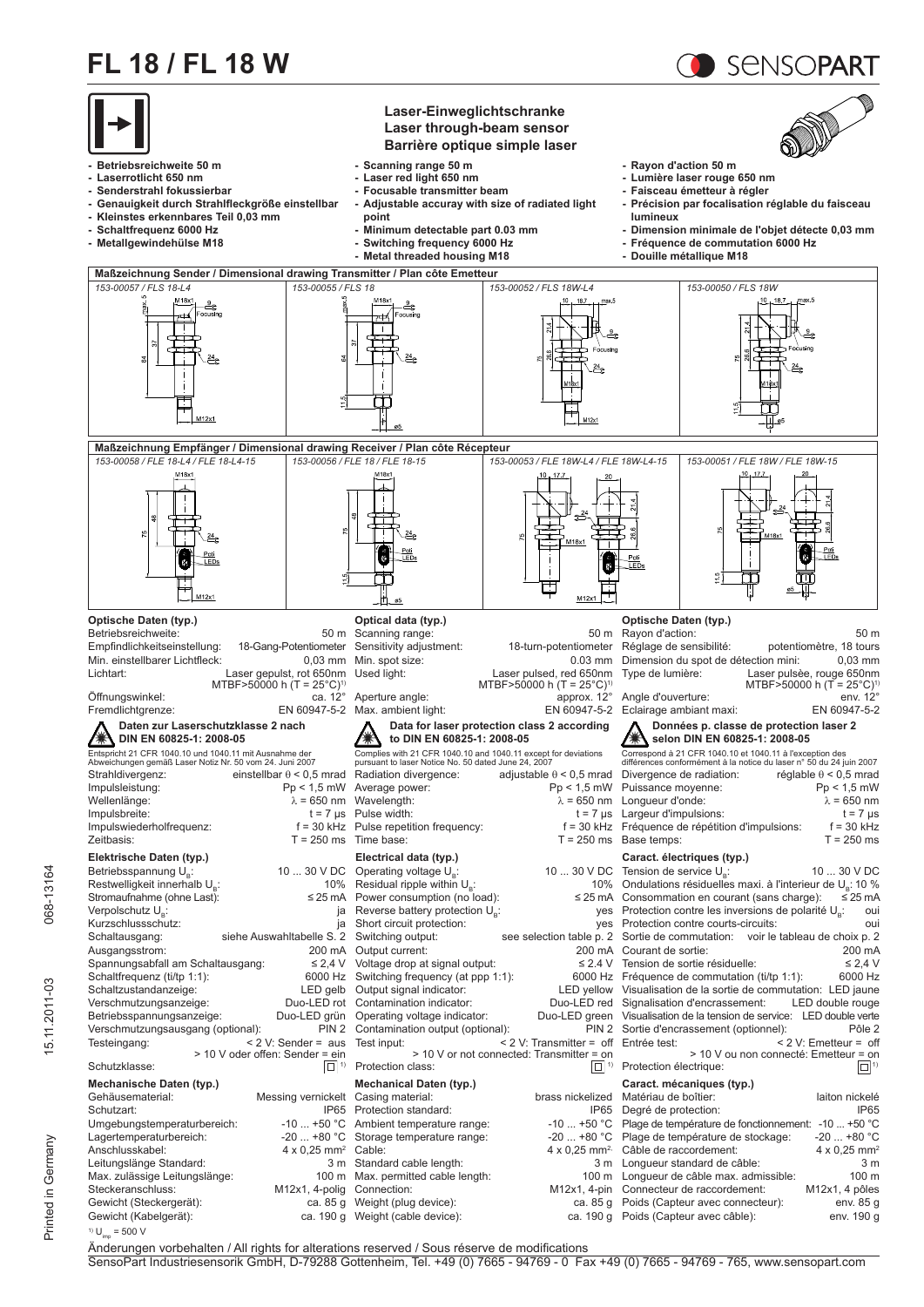## **FL 18 / FL 18 W**



SENSOPART

Änderungen vorbehalten / All rights for alterations reserved / Sous réserve de modifications SensoPart Industriesensorik GmbH, D-79288 Gottenheim, Tel. +49 (0) 7665 - 94769 - 0 Fax +49 (0) 7665 - 94769 - 765, www.sensopart.com

Printed in Germany